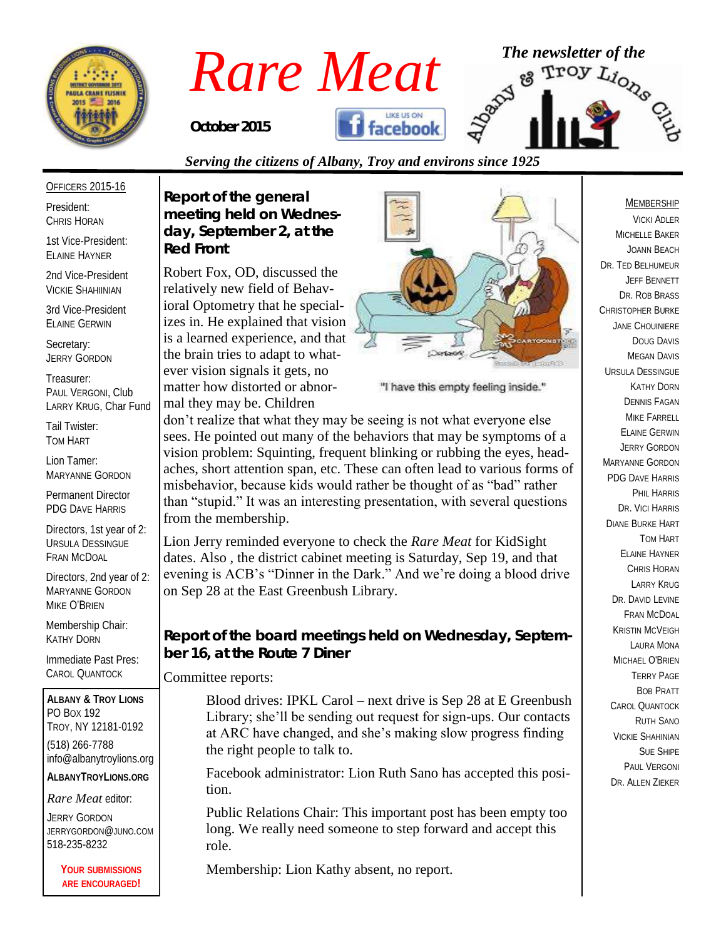

# *Rare Meat* <sup>The newsletter of the **Rare Meat**  $\frac{1}{2}$   $\frac{1}{2}$   $\frac{1}{2}$   $\frac{1}{2}$   $\frac{1}{2}$   $\frac{1}{2}$   $\frac{1}{2}$   $\frac{1}{2}$   $\frac{1}{2}$   $\frac{1}{2}$   $\frac{1}{2}$   $\frac{1}{2}$   $\frac{1}{2}$   $\frac{1}{2}$   $\frac{1}{2}$   $\frac{1}{2}$   $\frac{1}{2}$   $\frac{1$ **facebook** *October 2015*

#### *Serving the citizens of Albany, Troy and environs since 1925*

#### OFFICERS 2015-16

President: CHRIS HORAN

1st Vice-President: ELAINE HAYNER

2nd Vice-President VICKIE SHAHIINIAN

3rd Vice-President ELAINE GERWIN

Secretary: JERRY GORDON

Treasurer: PAUL VERGONI, Club LARRY KRUG, Char Fund

Tail Twister: TOM HART

Lion Tamer: MARYANNE GORDON

Permanent Director PDG DAVE HARRIS

Directors, 1st year of 2: URSULA DESSINGUE FRAN MCDOAL

Directors, 2nd year of 2: MARYANNE GORDON MIKE O'BRIEN

Membership Chair: KATHY DORN

Immediate Past Pres: CAROL QUANTOCK

**ALBANY & TROY LIONS** PO BOX 192 TROY, NY 12181-0192 (518) 266-7788 info@albanytroylions.org **ALBANYTROYLIONS.ORG**

*Rare Meat* editor:

JERRY GORDON JERRYGORDON@JUNO.COM 518-235-8232

> **YOUR SUBMISSIONS ARE ENCOURAGED!**

*Report of the general meeting held on Wednesday, September 2, at the Red Front* 

Robert Fox, OD, discussed the relatively new field of Behavioral Optometry that he specializes in. He explained that vision is a learned experience, and that the brain tries to adapt to whatever vision signals it gets, no matter how distorted or abnormal they may be. Children



"I have this empty feeling inside."

don't realize that what they may be seeing is not what everyone else sees. He pointed out many of the behaviors that may be symptoms of a vision problem: Squinting, frequent blinking or rubbing the eyes, headaches, short attention span, etc. These can often lead to various forms of misbehavior, because kids would rather be thought of as "bad" rather than "stupid." It was an interesting presentation, with several questions from the membership.

Lion Jerry reminded everyone to check the *Rare Meat* for KidSight dates. Also , the district cabinet meeting is Saturday, Sep 19, and that evening is ACB's "Dinner in the Dark." And we're doing a blood drive on Sep 28 at the East Greenbush Library.

*Report of the board meetings held on Wednesday, September 16, at the Route 7 Diner* 

Committee reports:

Blood drives: IPKL Carol – next drive is Sep 28 at E Greenbush Library; she'll be sending out request for sign-ups. Our contacts at ARC have changed, and she's making slow progress finding the right people to talk to.

Facebook administrator: Lion Ruth Sano has accepted this position.

Public Relations Chair: This important post has been empty too long. We really need someone to step forward and accept this role.

Membership: Lion Kathy absent, no report.

#### MEMBERSHIP

VICKI ADLER MICHELLE BAKER JOANN BEACH DR. TED BELHUMEUR JEFF BENNETT DR. ROB BRASS CHRISTOPHER BURKE JANE CHOUINIERE DOUG DAVIS MEGAN DAVIS URSULA DESSINGUE KATHY DORN DENNIS FAGAN MIKE FARRELL ELAINE GERWIN JERRY GORDON MARYANNE GORDON PDG DAVE HARRIS PHIL HARRIS DR. VICI HARRIS DIANE BURKE HART TOM HART ELAINE HAYNER CHRIS HORAN LARRY KRUG DR. DAVID LEVINE FRAN MCDOAL KRISTIN MCVEIGH LAURA MONA MICHAEL O'BRIEN TERRY PAGE BOB PRATT CAROL QUANTOCK RUTH SANO VICKIE SHAHINIAN SUE SHIPE PAUL VERGONI DR. ALLEN ZIEKER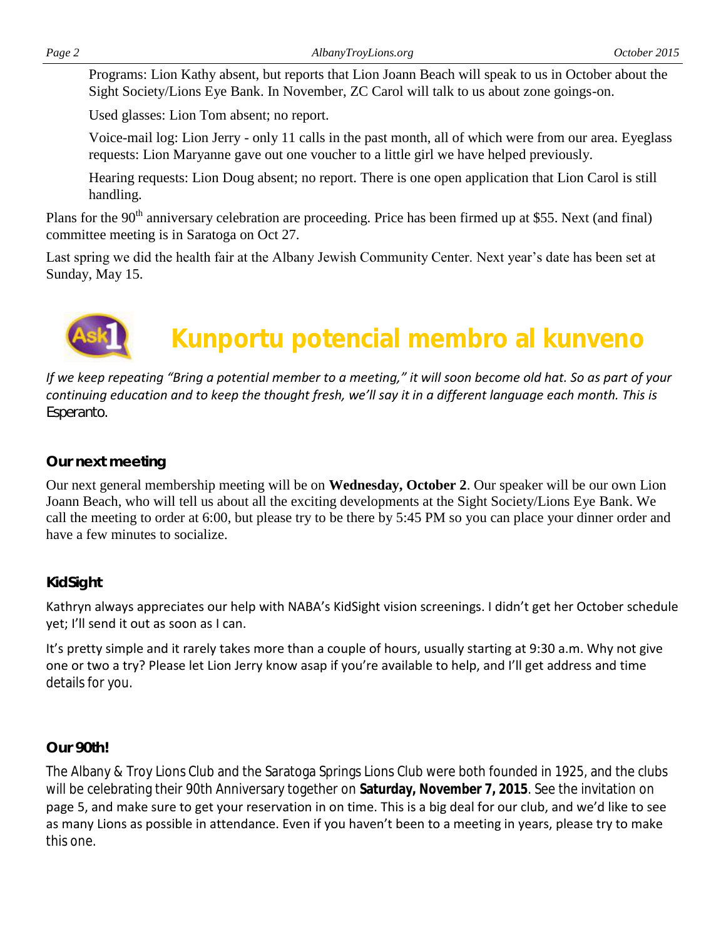Programs: Lion Kathy absent, but reports that Lion Joann Beach will speak to us in October about the Sight Society/Lions Eye Bank. In November, ZC Carol will talk to us about zone goings-on.

Used glasses: Lion Tom absent; no report.

Voice-mail log: Lion Jerry - only 11 calls in the past month, all of which were from our area. Eyeglass requests: Lion Maryanne gave out one voucher to a little girl we have helped previously.

Hearing requests: Lion Doug absent; no report. There is one open application that Lion Carol is still handling.

Plans for the 90<sup>th</sup> anniversary celebration are proceeding. Price has been firmed up at \$55. Next (and final) committee meeting is in Saratoga on Oct 27.

Last spring we did the health fair at the Albany Jewish Community Center. Next year's date has been set at Sunday, May 15.



# **Kunportu potencial membro al kunveno**

*If we keep repeating "Bring a potential member to a meeting," it will soon become old hat. So as part of your continuing education and to keep the thought fresh, we'll say it in a different language each month. This is Esperanto.*

#### *Our next meeting*

Our next general membership meeting will be on **Wednesday, October 2**. Our speaker will be our own Lion Joann Beach, who will tell us about all the exciting developments at the Sight Society/Lions Eye Bank. We call the meeting to order at 6:00, but please try to be there by 5:45 PM so you can place your dinner order and have a few minutes to socialize.

#### *KidSight*

Kathryn always appreciates our help with NABA's KidSight vision screenings. I didn't get her October schedule yet; I'll send it out as soon as I can.

It's pretty simple and it rarely takes more than a couple of hours, usually starting at 9:30 a.m. Why not give one or two a try? Please let Lion Jerry know asap if you're available to help, and I'll get address and time details for you.

#### *Our 90th!*

The Albany & Troy Lions Club and the Saratoga Springs Lions Club were both founded in 1925, and the clubs will be celebrating their 90th Anniversary together on **Saturday, November 7, 2015**. See the invitation on page 5, and make sure to get your reservation in on time. This is a big deal for our club, and we'd like to see as many Lions as possible in attendance. Even if you haven't been to a meeting in years, please try to make this one.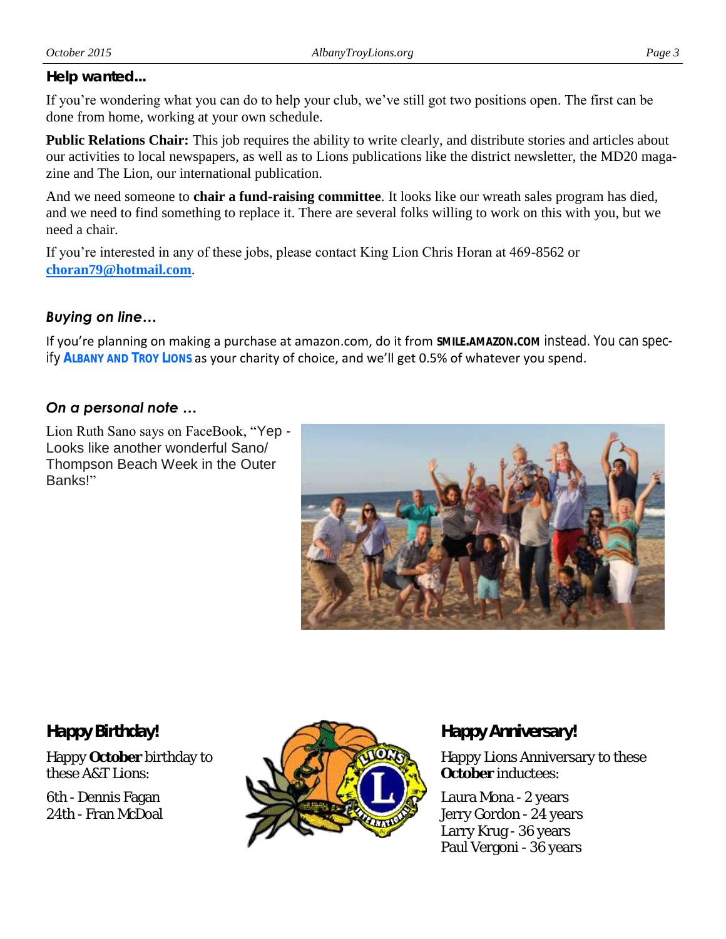#### *Help wanted...*

If you're wondering what you can do to help your club, we've still got two positions open. The first can be done from home, working at your own schedule.

**Public Relations Chair:** This job requires the ability to write clearly, and distribute stories and articles about our activities to local newspapers, as well as to Lions publications like the district newsletter, the MD20 magazine and The Lion, our international publication.

And we need someone to **chair a fund-raising committee**. It looks like our wreath sales program has died, and we need to find something to replace it. There are several folks willing to work on this with you, but we need a chair.

If you're interested in any of these jobs, please contact King Lion Chris Horan at 469-8562 or **[choran79@hotmail.com](mailto:choran79@hotmail.com)**.

#### *Buying on line…*

If you're planning on making a purchase at amazon.com, do it from **SMILE.AMAZON.COM** instead. You can specify **ALBANY AND TROY LIONS** as your charity of choice, and we'll get 0.5% of whatever you spend.

### *On a personal note …*

Lion Ruth Sano says on FaceBook, "Yep - Looks like another wonderful Sano/ Thompson Beach Week in the Outer Banks!"



*Happy Birthday!*

Happy **October** birthday to these A&T Lions:

6th - Dennis Fagan 24th - Fran McDoal



## *Happy Anniversary!*

Happy Lions Anniversary to these **October** inductees:

Laura Mona - 2 years Jerry Gordon - 24 years Larry Krug - 36 years Paul Vergoni - 36 years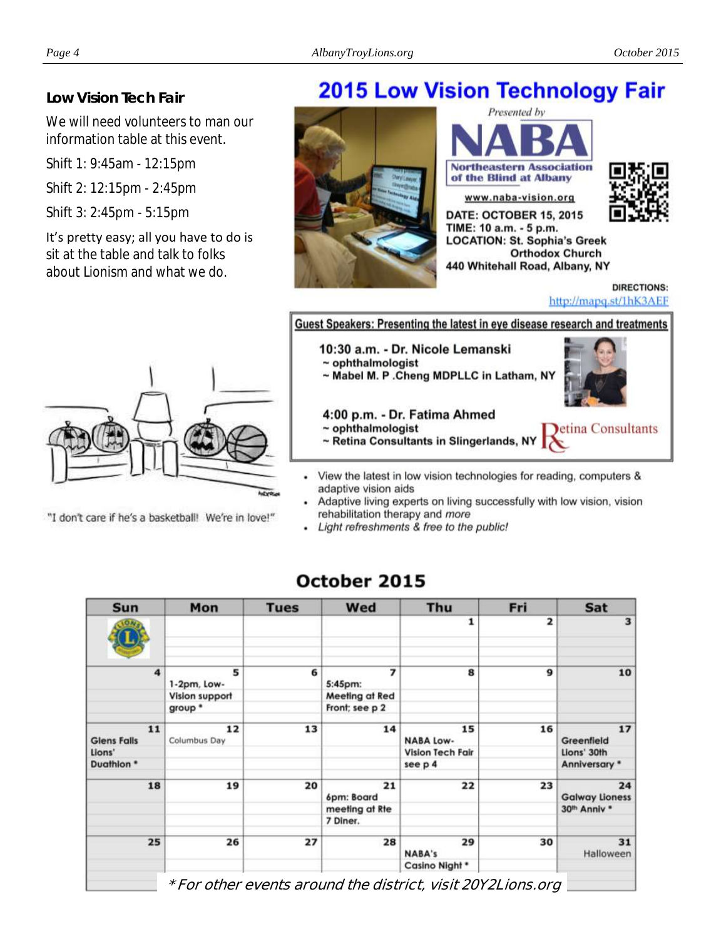#### *Low Vision Tech Fair*

We will need volunteers to man our information table at this event.

Shift 1: 9:45am - 12:15pm

Shift 2: 12:15pm - 2:45pm

Shift 3: 2:45pm - 5:15pm

It's pretty easy; all you have to do is sit at the table and talk to folks about Lionism and what we do.

# **2015 Low Vision Technology Fair**







440 Whitehall Road, Albany, NY **DIRECTIONS:** http://mapq.st/1hK3AEF

**Orthodox Church** 



"I don't care if he's a basketball! We're in love!"

#### Guest Speakers: Presenting the latest in eye disease research and treatments

10:30 a.m. - Dr. Nicole Lemanski

- $\sim$  ophthalmologist
- ~ Mabel M. P . Cheng MDPLLC in Latham, NY



etina Consultants

4:00 p.m. - Dr. Fatima Ahmed

- $\sim$  ophthalmologist
- ~ Retina Consultants in Slingerlands, NY
- View the latest in low vision technologies for reading, computers & adaptive vision aids
- Adaptive living experts on living successfully with low vision, vision rehabilitation therapy and more
- Light refreshments & free to the public!

| Sat                             | Fri                     | Thu                                               | Wed                       | <b>Tues</b> | Mon                   | Sun                                |
|---------------------------------|-------------------------|---------------------------------------------------|---------------------------|-------------|-----------------------|------------------------------------|
| 3                               | $\overline{\mathbf{z}}$ | 1                                                 |                           |             |                       |                                    |
| 10                              | 9                       | 8                                                 | $\overline{ }$<br>5:45pm: | 6           | 5<br>1-2pm, Low-      | $\overline{4}$                     |
|                                 |                         |                                                   | Meeting at Red            |             | <b>Vision support</b> |                                    |
|                                 |                         |                                                   | Front; see p 2            |             | group *               |                                    |
| 17<br>Greenfield<br>Lions' 30th | 16                      | 15<br><b>NABA Low-</b><br><b>Vision Tech Fair</b> | 14                        | 13          | 12<br>Columbus Day    | 11<br><b>Glens Falls</b><br>Lions' |
| Anniversary *                   |                         | see p 4                                           |                           |             |                       | Duathlon *                         |
| 24<br><b>Galway Lioness</b>     | 23                      | 22                                                | 21<br>6pm: Board          | 20          | 19                    | 18                                 |
| 30 <sup>th</sup> Anniv *        |                         |                                                   | meeting at Rte            |             |                       |                                    |
|                                 |                         |                                                   | 7 Diner.                  |             |                       |                                    |
| 31<br>Halloween                 | 30                      | 29<br><b>NABA's</b>                               | 28                        | 27          | 26                    | 25                                 |
|                                 |                         | Casino Night *                                    |                           |             |                       |                                    |

# October 2015

**\* For other events around the district, visit 20Y2Lions.org**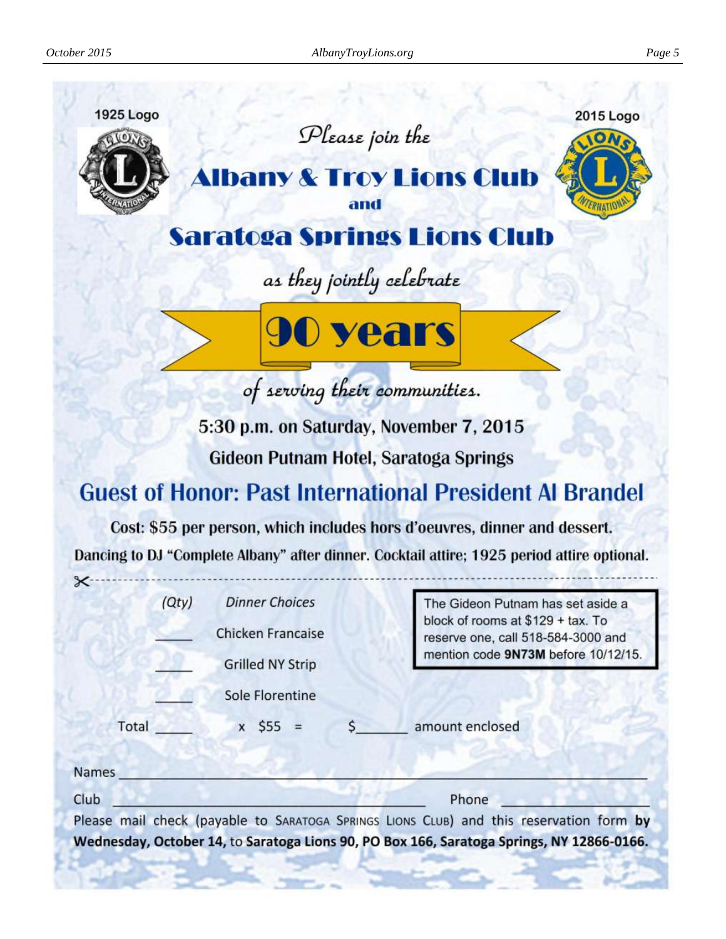